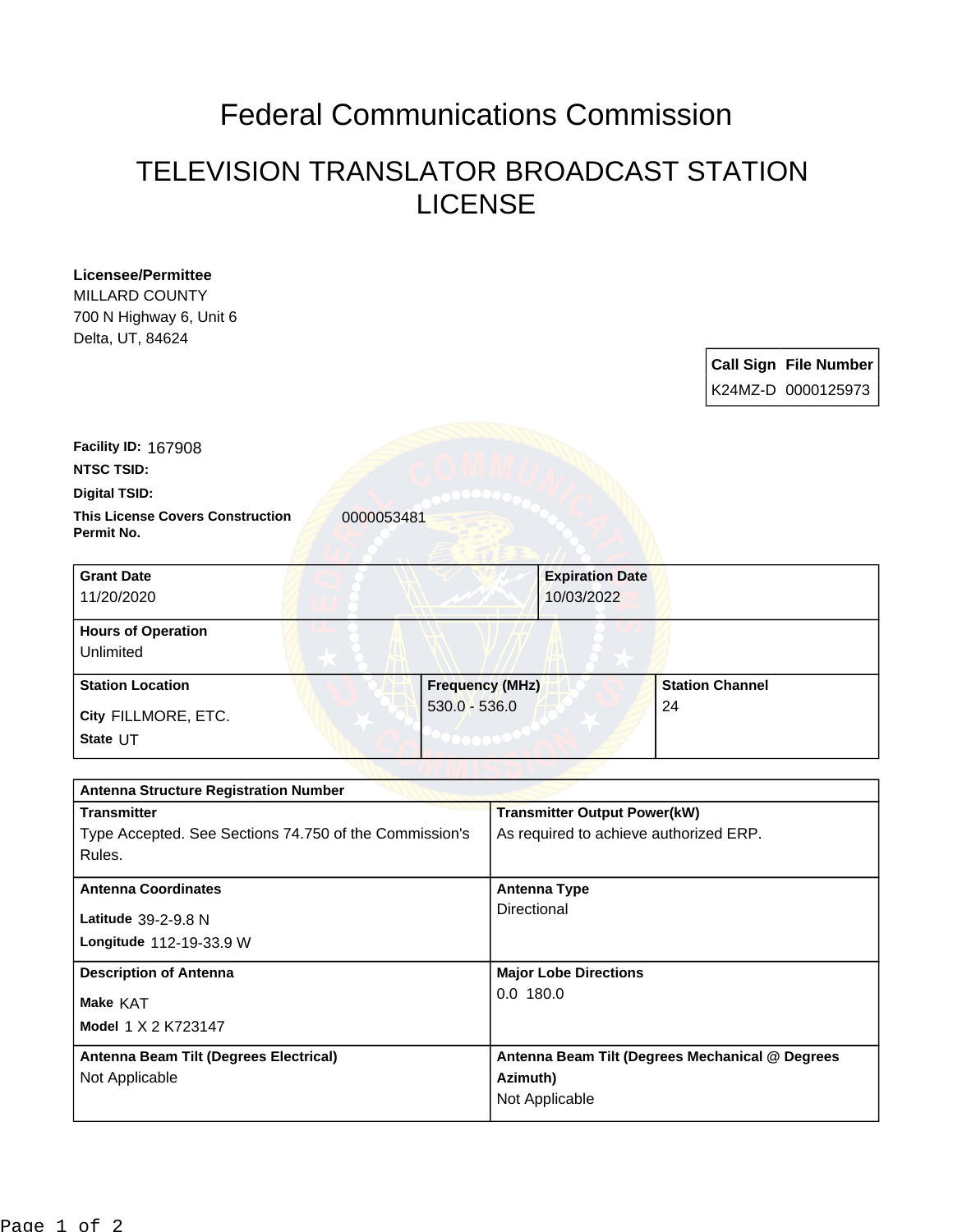## Federal Communications Commission

## TELEVISION TRANSLATOR BROADCAST STATION LICENSE

| City FILLMORE, ETC.                                                                                                              |                                           |                                                    |
|----------------------------------------------------------------------------------------------------------------------------------|-------------------------------------------|----------------------------------------------------|
| <b>Station Location</b>                                                                                                          | <b>Frequency (MHz)</b><br>$530.0 - 536.0$ | <b>Station Channel</b><br>24                       |
| <b>Hours of Operation</b><br>Unlimited                                                                                           |                                           |                                                    |
| <b>Grant Date</b><br>11/20/2020                                                                                                  | <b>Expiration Date</b><br>10/03/2022      |                                                    |
| Facility ID: 167908<br><b>NTSC TSID:</b><br>Digital TSID:<br><b>This License Covers Construction</b><br>0000053481<br>Permit No. |                                           |                                                    |
| MILLARD COUNTY<br>700 N Highway 6, Unit 6<br>Delta, UT, 84624                                                                    |                                           | <b>Call Sign File Number</b><br>K24MZ-D 0000125973 |

| <b>Antenna Structure Registration Number</b>           |                                                 |
|--------------------------------------------------------|-------------------------------------------------|
| <b>Transmitter</b>                                     | <b>Transmitter Output Power(kW)</b>             |
| Type Accepted. See Sections 74.750 of the Commission's | As required to achieve authorized ERP.          |
| Rules.                                                 |                                                 |
| <b>Antenna Coordinates</b>                             | <b>Antenna Type</b>                             |
| Latitude $39-2-9.8$ N                                  | Directional                                     |
| Longitude 112-19-33.9 W                                |                                                 |
| <b>Description of Antenna</b>                          | <b>Major Lobe Directions</b>                    |
| Make KAT                                               | 0.0180.0                                        |
| Model 1 X 2 K723147                                    |                                                 |
| Antenna Beam Tilt (Degrees Electrical)                 | Antenna Beam Tilt (Degrees Mechanical @ Degrees |
|                                                        | Azimuth)                                        |
| Not Applicable                                         |                                                 |
|                                                        | Not Applicable                                  |